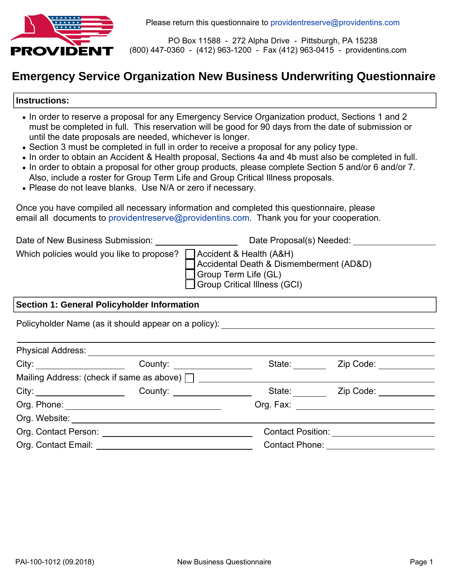

PO Box 11588 - 272 Alpha Drive - Pittsburgh, PA 15238 (800) 447-0360 - (412) 963-1200 - Fax (412) 963-0415 - providentins.com

# **Emergency Service Organization New Business Underwriting Questionnaire**

#### **Instructions:**

- In order to reserve a proposal for any Emergency Service Organization product, Sections 1 and 2 must be completed in full. This reservation will be good for 90 days from the date of submission or until the date proposals are needed, whichever is longer.
- Section 3 must be completed in full in order to receive a proposal for any policy type.
- In order to obtain an Accident & Health proposal, Sections 4a and 4b must also be completed in full.
- In order to obtain a proposal for other group products, please complete Section 5 and/or 6 and/or 7. Also, include a roster for Group Term Life and Group Critical Illness proposals.
- Please do not leave blanks. Use N/A or zero if necessary.

Once you have compiled all necessary information and completed this questionnaire, please email all documents to providentreserve@providentins.com. Thank you for your cooperation.

| Date of New Business Submission:          | Date Proposal(s) Needed:                                                                                                   |
|-------------------------------------------|----------------------------------------------------------------------------------------------------------------------------|
| Which policies would you like to propose? | Accident & Health (A&H)<br>Accidental Death & Dismemberment (AD&D)<br>Sroup Term Life (GL)<br>Group Critical Illness (GCI) |

#### **Section 1: General Policyholder Information**

Policyholder Name (as it should appear on a policy):

| <b>Physical Address:</b>          |                                                  |                                      |                               |  |
|-----------------------------------|--------------------------------------------------|--------------------------------------|-------------------------------|--|
|                                   | County: <u>_______________</u>                   | State: <b>State:</b>                 | Zip Code:                     |  |
|                                   | Mailing Address: (check if same as above) $\Box$ |                                      |                               |  |
|                                   | County: <u>___________________</u>               | State: State:                        | Zip Code:                     |  |
|                                   | Org. Phone: _________________________            | Org. Fax: <u>___________________</u> |                               |  |
|                                   |                                                  |                                      |                               |  |
| Org. Contact Person:              |                                                  |                                      | <b>Contact Position:</b>      |  |
| Org. Contact Email: _____________ |                                                  |                                      | Contact Phone: Contact Phone: |  |
|                                   |                                                  |                                      |                               |  |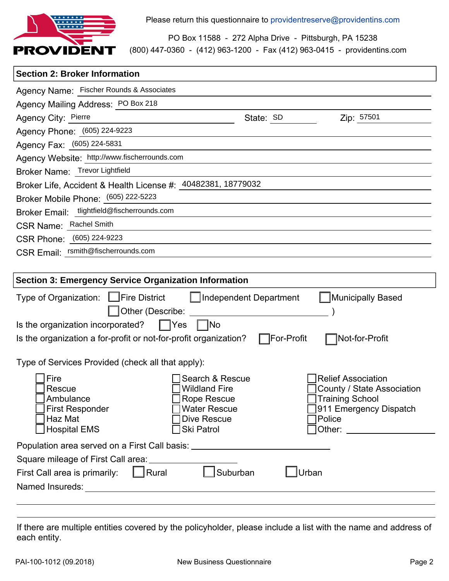

Please return this questionnaire to providentreserve@providentins.com

(800) 447-0360 - (412) 963-1200 - Fax (412) 963-0415 - providentins.com PO Box 11588 - 272 Alpha Drive - Pittsburgh, PA 15238

## **Section 2: Broker Information**

| Agency Name: Fischer Rounds & Associates                                                                                                                                                                                                                            |
|---------------------------------------------------------------------------------------------------------------------------------------------------------------------------------------------------------------------------------------------------------------------|
| Agency Mailing Address: PO Box 218                                                                                                                                                                                                                                  |
| Agency City: Pierre<br>Zip: 57501<br>State: SD                                                                                                                                                                                                                      |
| Agency Phone: (605) 224-9223                                                                                                                                                                                                                                        |
| Agency Fax: (605) 224-5831                                                                                                                                                                                                                                          |
| Agency Website: http://www.fischerrounds.com                                                                                                                                                                                                                        |
| Broker Name: Trevor Lightfield                                                                                                                                                                                                                                      |
| Broker Life, Accident & Health License #: 40482381, 18779032                                                                                                                                                                                                        |
| Broker Mobile Phone: (605) 222-5223                                                                                                                                                                                                                                 |
| Broker Email: tlightfield@fischerrounds.com                                                                                                                                                                                                                         |
| CSR Name: Rachel Smith                                                                                                                                                                                                                                              |
| CSR Phone: (605) 224-9223                                                                                                                                                                                                                                           |
| CSR Email: rsmith@fischerrounds.com                                                                                                                                                                                                                                 |
|                                                                                                                                                                                                                                                                     |
| <b>Section 3: Emergency Service Organization Information</b>                                                                                                                                                                                                        |
| Type of Organization: □Fire District<br>Independent Department<br><b>Municipally Based</b>                                                                                                                                                                          |
| Other (Describe:                                                                                                                                                                                                                                                    |
| Is the organization incorporated?<br>$\blacksquare$ Yes<br> No                                                                                                                                                                                                      |
| Is the organization a for-profit or not-for-profit organization?<br>Not-for-Profit<br>¯For-Profit                                                                                                                                                                   |
|                                                                                                                                                                                                                                                                     |
| Type of Services Provided (check all that apply):                                                                                                                                                                                                                   |
| Fire<br><b>Relief Association</b><br>Search & Rescue                                                                                                                                                                                                                |
| <b>Wildland Fire</b><br>County / State Association<br>Rescue                                                                                                                                                                                                        |
| <b>Training School</b><br>Ambulance<br><b>Rope Rescue</b>                                                                                                                                                                                                           |
| Water Rescue<br>311 Emergency Dispatch<br><b>First Responder</b><br>Haz Mat<br>Dive Rescue<br>Police                                                                                                                                                                |
| <b>Hospital EMS</b><br>Ski Patrol<br>Other: will be a state of the state of the state of the state of the state of the state of the state of the state of the state of the state of the state of the state of the state of the state of the state of the state of t |
| Population area served on a First Call basis: __________________________________                                                                                                                                                                                    |
| Square mileage of First Call area: ____________                                                                                                                                                                                                                     |
| $\vert$ Rural<br>Suburban<br>Urban                                                                                                                                                                                                                                  |
| First Call area is primarily:                                                                                                                                                                                                                                       |
|                                                                                                                                                                                                                                                                     |
|                                                                                                                                                                                                                                                                     |

If there are multiple entities covered by the policyholder, please include a list with the name and address of each entity.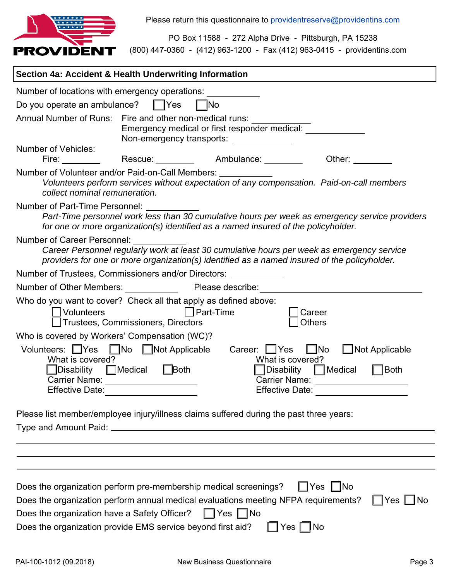

(800) 447-0360 - (412) 963-1200 - Fax (412) 963-0415 - providentins.com PO Box 11588 - 272 Alpha Drive - Pittsburgh, PA 15238

| Section 4a: Accident & Health Underwriting Information                                                                                                                                                                                                                                                                                                                                                                                                                                                              |
|---------------------------------------------------------------------------------------------------------------------------------------------------------------------------------------------------------------------------------------------------------------------------------------------------------------------------------------------------------------------------------------------------------------------------------------------------------------------------------------------------------------------|
| Number of locations with emergency operations:                                                                                                                                                                                                                                                                                                                                                                                                                                                                      |
| Do you operate an ambulance?<br>$ $  Yes<br><b>INo</b>                                                                                                                                                                                                                                                                                                                                                                                                                                                              |
| Annual Number of Runs: Fire and other non-medical runs:<br>Emergency medical or first responder medical:<br>Non-emergency transports:                                                                                                                                                                                                                                                                                                                                                                               |
| Number of Vehicles:<br>Rescue: Ambulance:<br>Fire: when the set of the set of the set of the set of the set of the set of the set of the set of the set of the set of the set of the set of the set of the set of the set of the set of the set of the set of the set of th<br>Other: <b>Communist Communist Communist Communist Communist Communist Communist Communist Communist Communist Communist Communist Communist Communist Communist Communist Communist Communist Communist Communist Communist Comm</b> |
| Number of Volunteer and/or Paid-on-Call Members: ___________<br>Volunteers perform services without expectation of any compensation. Paid-on-call members<br>collect nominal remuneration.                                                                                                                                                                                                                                                                                                                          |
| Number of Part-Time Personnel:<br>Part-Time personnel work less than 30 cumulative hours per week as emergency service providers<br>for one or more organization(s) identified as a named insured of the policyholder.                                                                                                                                                                                                                                                                                              |
| <b>Number of Career Personnel:</b><br>Career Personnel regularly work at least 30 cumulative hours per week as emergency service<br>providers for one or more organization(s) identified as a named insured of the policyholder.                                                                                                                                                                                                                                                                                    |
| Number of Trustees, Commissioners and/or Directors: _________                                                                                                                                                                                                                                                                                                                                                                                                                                                       |
| Number of Other Members:<br>Please describe:                                                                                                                                                                                                                                                                                                                                                                                                                                                                        |
| Who do you want to cover? Check all that apply as defined above:<br>Part-Time<br><b>Volunteers</b><br>Career<br><b>Others</b><br>Trustees, Commissioners, Directors                                                                                                                                                                                                                                                                                                                                                 |
| Who is covered by Workers' Compensation (WC)?                                                                                                                                                                                                                                                                                                                                                                                                                                                                       |
| $\Box$ No<br>Volunteers: Yes No Not Applicable<br>$\Box$ Not Applicable<br>Career: 1 Yes<br>What is covered?<br>What is covered?<br>∃Both<br>lDisability<br>$\Box$ Medical<br><b>Disability</b><br>$\Box$ Medical<br>$\Box$ Both<br>Carrier Name:<br><b>Carrier Name:</b><br><b>Effective Date:</b><br><b>Effective Date:</b>                                                                                                                                                                                       |
| Please list member/employee injury/illness claims suffered during the past three years:                                                                                                                                                                                                                                                                                                                                                                                                                             |
|                                                                                                                                                                                                                                                                                                                                                                                                                                                                                                                     |
|                                                                                                                                                                                                                                                                                                                                                                                                                                                                                                                     |
|                                                                                                                                                                                                                                                                                                                                                                                                                                                                                                                     |
| Does the organization perform pre-membership medical screenings?<br>∐Yes<br>l INo<br>Does the organization perform annual medical evaluations meeting NFPA requirements?<br>   Yes  <br>No.<br>Does the organization have a Safety Officer?<br>Yes $ $<br>∣No<br>Yes $\Box$ No<br>Does the organization provide EMS service beyond first aid?                                                                                                                                                                       |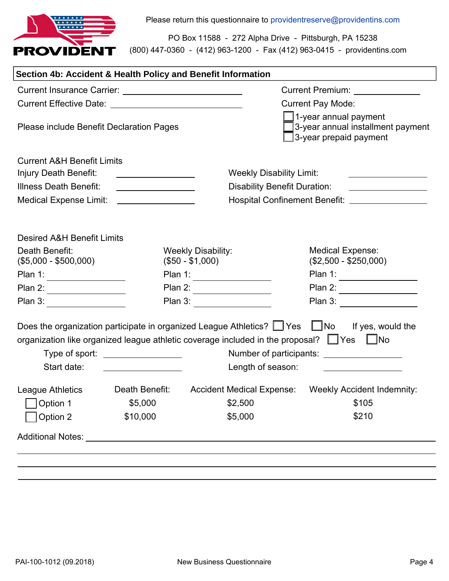

(800) 447-0360 - (412) 963-1200 - Fax (412) 963-0415 - providentins.com PO Box 11588 - 272 Alpha Drive - Pittsburgh, PA 15238

| Section 4b: Accident & Health Policy and Benefit Information |                                              |                                                                                                                                                                                           |                                                                                      |  |
|--------------------------------------------------------------|----------------------------------------------|-------------------------------------------------------------------------------------------------------------------------------------------------------------------------------------------|--------------------------------------------------------------------------------------|--|
|                                                              |                                              |                                                                                                                                                                                           | <b>Current Premium:</b> Current Area                                                 |  |
|                                                              |                                              |                                                                                                                                                                                           | <b>Current Pay Mode:</b>                                                             |  |
| <b>Please include Benefit Declaration Pages</b>              |                                              |                                                                                                                                                                                           | 1-year annual payment<br>3-year annual installment payment<br>3-year prepaid payment |  |
| <b>Current A&amp;H Benefit Limits</b>                        |                                              |                                                                                                                                                                                           |                                                                                      |  |
| Injury Death Benefit:                                        | the control of the control of the control of | <b>Weekly Disability Limit:</b>                                                                                                                                                           | the control of the control of the control of the control of the control of           |  |
| Illness Death Benefit:                                       | <u> 1989 - Johann Barbara, martin a</u>      | <b>Disability Benefit Duration:</b>                                                                                                                                                       |                                                                                      |  |
| <b>Medical Expense Limit:</b>                                |                                              |                                                                                                                                                                                           | Hospital Confinement Benefit: ___________________                                    |  |
| <b>Desired A&amp;H Benefit Limits</b>                        |                                              |                                                                                                                                                                                           |                                                                                      |  |
| Death Benefit:                                               |                                              | <b>Weekly Disability:</b>                                                                                                                                                                 | <b>Medical Expense:</b>                                                              |  |
| $($5,000 - $500,000)$                                        |                                              | $($50 - $1,000)$                                                                                                                                                                          | $($2,500 - $250,000)$                                                                |  |
| Plan 1:                                                      | Plan 1:                                      |                                                                                                                                                                                           | Plan 1:                                                                              |  |
| Plan 2: $\overline{\qquad \qquad }$                          |                                              | Plan 2: $\overline{\qquad \qquad }$                                                                                                                                                       | Plan 2:                                                                              |  |
| Plan 3:                                                      |                                              | Plan 3:                                                                                                                                                                                   | Plan 3:                                                                              |  |
| Start date:                                                  | Type of sport: $\sqrt{ }$                    | Does the organization participate in organized League Athletics? U Yes U No<br>organization like organized league athletic coverage included in the proposal? Ves No<br>Length of season: | If yes, would the<br>Number of participants: __________________                      |  |
| League Athletics                                             | Death Benefit:                               | <b>Accident Medical Expense:</b>                                                                                                                                                          | <b>Weekly Accident Indemnity:</b>                                                    |  |
| Option 1                                                     | \$5,000                                      | \$2,500                                                                                                                                                                                   | \$105                                                                                |  |
| Option 2                                                     | \$10,000                                     | \$5,000                                                                                                                                                                                   | \$210                                                                                |  |
| Additional Notes: Additional Notes:                          |                                              |                                                                                                                                                                                           |                                                                                      |  |
|                                                              |                                              |                                                                                                                                                                                           |                                                                                      |  |